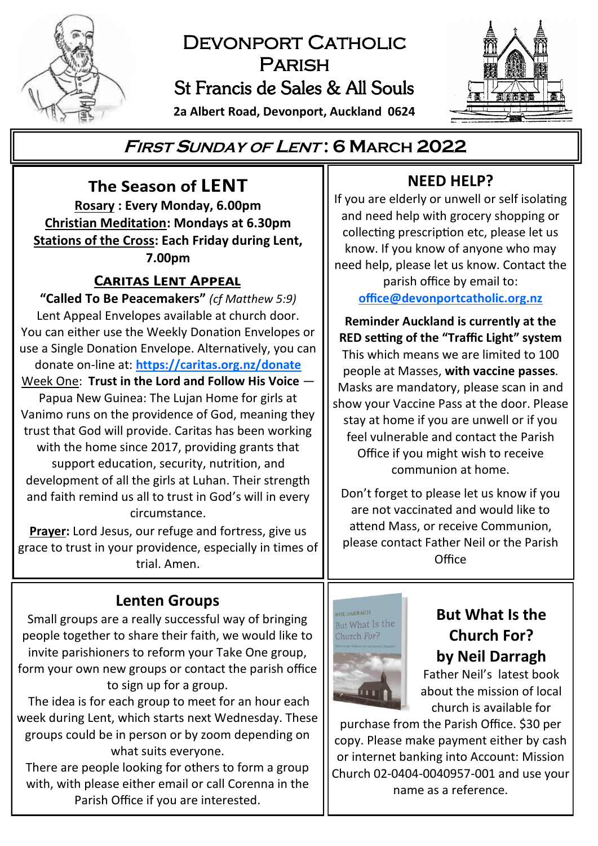

# DEVONPORT CATHOLIC Parish St Francis de Sales & All Souls

**2a Albert Road, Devonport, Auckland 0624**



# **<sup>F</sup>IRST <sup>S</sup>UNDAY OF <sup>L</sup>ENT : 6 MARCH 2022**

The Season of LENT **Rosary : Every Monday, 6.00pm Christian Meditation: Mondays at 6.30pm Stations of the Cross: Each Friday during Lent, 7.00pm**

## **CARITAS LENT APPEAL**

**"Called To Be Peacemakers"** *(cf Matthew 5:9)* Lent Appeal Envelopes available at church door. You can either use the Weekly Donation Envelopes or use a Single Donation Envelope. Alternatively, you can donate on-line at: **<https://caritas.org.nz/donate>**

Week One: **Trust in the Lord and Follow His Voice** 

Papua New Guinea: The Lujan Home for girls at Vanimo runs on the providence of God, meaning they trust that God will provide. Caritas has been working with the home since 2017, providing grants that support education, security, nutrition, and development of all the girls at Luhan. Their strength and faith remind us all to trust in God's will in every circumstance.

**Prayer:** Lord Jesus, our refuge and fortress, give us grace to trust in your providence, especially in times of trial. Amen.

## **Lenten Groups**

Small groups are a really successful way of bringing people together to share their faith, we would like to invite parishioners to reform your Take One group, form your own new groups or contact the parish office to sign up for a group.

The idea is for each group to meet for an hour each week during Lent, which starts next Wednesday. These groups could be in person or by zoom depending on what suits everyone.

There are people looking for others to form a group with, with please either email or call Corenna in the Parish Office if you are interested.

# **NEED HELP?**

If you are elderly or unwell or self isolating and need help with grocery shopping or collecting prescription etc, please let us know. If you know of anyone who may need help, please let us know. Contact the parish office by email to:

**[office@devonportcatholic.org.nz](mailto:office@devonportcatholic.org.nz)**

**Reminder Auckland is currently at the RED setting of the "Traffic Light" system** This which means we are limited to 100 people at Masses, **with vaccine passes**. Masks are mandatory, please scan in and show your Vaccine Pass at the door. Please stay at home if you are unwell or if you feel vulnerable and contact the Parish Office if you might wish to receive communion at home.

Don't forget to please let us know if you are not vaccinated and would like to attend Mass, or receive Communion, please contact Father Neil or the Parish Office



# **But What Is the Church For? by Neil Darragh**

Father Neil's latest book about the mission of local church is available for

purchase from the Parish Office. \$30 per copy. Please make payment either by cash or internet banking into Account: Mission Church 02-0404-0040957-001 and use your name as a reference.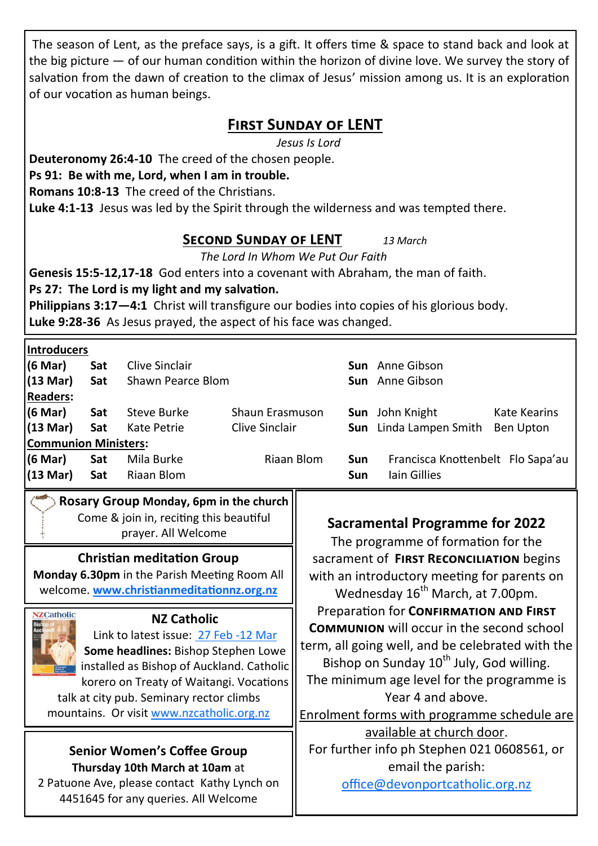The season of Lent, as the preface says, is a gift. It offers time & space to stand back and look at the big picture — of our human condition within the horizon of divine love. We survey the story of salvation from the dawn of creation to the climax of Jesus' mission among us. It is an exploration of our vocation as human beings.

## **First Sunday of LENT**

*Jesus Is Lord*

**Deuteronomy 26:4-10** The creed of the chosen people.

## **Ps 91: Be with me, Lord, when I am in trouble.**

**Romans 10:8-13** The creed of the Christians.

**Luke 4:1-13** Jesus was led by the Spirit through the wilderness and was tempted there.

## **Second Sunday of LENT** *13 March*

*The Lord In Whom We Put Our Faith*

**Genesis 15:5-12,17-18** God enters into a covenant with Abraham, the man of faith.

**Ps 27: The Lord is my light and my salvation.**

**Philippians 3:17—4:1** Christ will transfigure our bodies into copies of his glorious body. **Luke 9:28-36** As Jesus prayed, the aspect of his face was changed.

### **Introducers**

| (6 Mar)                     | Sat | Clive Sinclair    |                 |     | <b>Sun</b> Anne Gibson            |              |
|-----------------------------|-----|-------------------|-----------------|-----|-----------------------------------|--------------|
| $(13 \text{ Mar})$          | Sat | Shawn Pearce Blom |                 |     | <b>Sun</b> Anne Gibson            |              |
| <b>Readers:</b>             |     |                   |                 |     |                                   |              |
| (6 Mar)                     | Sat | Steve Burke       | Shaun Erasmuson |     | <b>Sun</b> John Knight            | Kate Kearins |
| $(13 \text{ Mar})$          | Sat | Kate Petrie       | Clive Sinclair  |     | <b>Sun</b> Linda Lampen Smith     | Ben Upton    |
| <b>Communion Ministers:</b> |     |                   |                 |     |                                   |              |
| (6 Mar)                     | Sat | Mila Burke        | Riaan Blom      | Sun | Francisca Knottenbelt Flo Sapa'au |              |
| $(13 \text{ Mar})$          | Sat | Riaan Blom        |                 | Sun | lain Gillies                      |              |
|                             |     |                   |                 |     |                                   |              |

### **Rosary Group Monday, 6pm in the church** Come & join in, reciting this beautiful prayer. All Welcome

## **Christian meditation Group**

**Monday 6.30pm** in the Parish Meeting Room All welcome. **[www.christianmeditationnz.org.nz](http://www.christianmeditationnz.org.nz/)**



#### **NZ Catholic**

Link to latest issue: [27 Feb](https://indd.adobe.com/view/e25bfeca-e399-42ba-9da3-2a0caa12f2ee) -12 Mar **Some headlines:** Bishop Stephen Lowe installed as Bishop of Auckland. Catholic korero on Treaty of Waitangi. Vocations talk at city pub. Seminary rector climbs

mountains. Or visit [www.nzcatholic.org.nz](https://nzcatholic.org.nz/)

### **Senior Women's Coffee Group Thursday 10th March at 10am** at

2 Patuone Ave, please contact Kathy Lynch on 4451645 for any queries. All Welcome

## **Sacramental Programme for 2022**

The programme of formation for the sacrament of **First Reconciliation** begins with an introductory meeting for parents on Wednesday 16<sup>th</sup> March, at 7.00pm. Preparation for **Confirmation and First Communion** will occur in the second school term, all going well, and be celebrated with the Bishop on Sunday 10<sup>th</sup> July, God willing. The minimum age level for the programme is Year 4 and above. Enrolment forms with programme schedule are available at church door. For further info ph Stephen 021 0608561, or email the parish:

[office@devonportcatholic.org.nz](mailto:office@devonportcatholic.org.nz)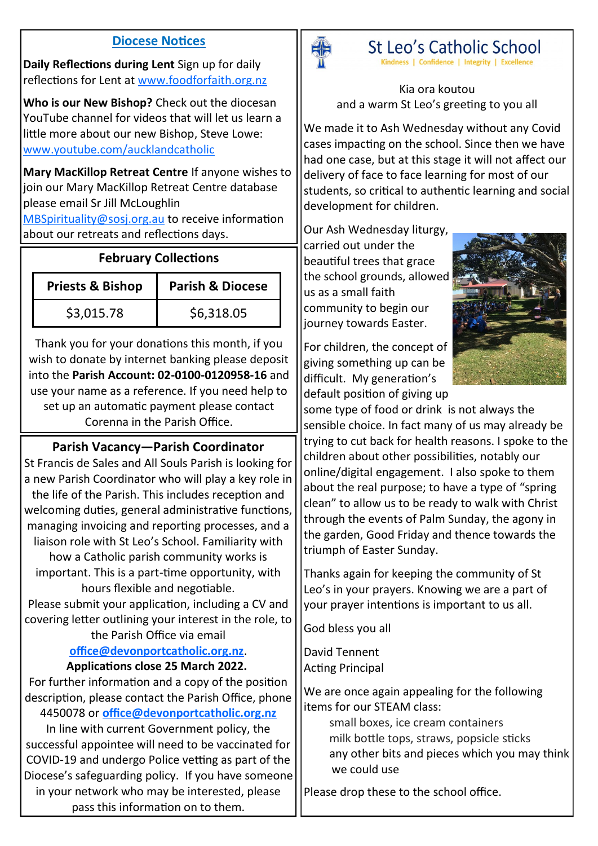#### **Diocese Notices**

**Daily Reflections during Lent** Sign up for daily reflections for Lent at [www.foodforfaith.org.nz](http://www.foodforfaith.org.nz)

**Who is our New Bishop?** Check out the diocesan YouTube channel for videos that will let us learn a little more about our new Bishop, Steve Lowe: [www.youtube.com/aucklandcatholic](https://www.youtube.com/aucklandcatholic)

**Mary MacKillop Retreat Centre** If anyone wishes to join our Mary MacKillop Retreat Centre database please email Sr Jill McLoughlin

[MBSpirituality@sosj.org.au](mailto:MBSpirituality@sosj.org.au) to receive information about our retreats and reflections days.

## **February Collections**

| <b>Priests &amp; Bishop</b> | <b>Parish &amp; Diocese</b> |  |  |
|-----------------------------|-----------------------------|--|--|
| \$3,015.78                  | \$6,318.05                  |  |  |

Thank you for your donations this month, if you wish to donate by internet banking please deposit into the **Parish Account: 02-0100-0120958-16** and use your name as a reference. If you need help to set up an automatic payment please contact Corenna in the Parish Office.

## **Parish Vacancy—Parish Coordinator**

St Francis de Sales and All Souls Parish is looking for a new Parish Coordinator who will play a key role in the life of the Parish. This includes reception and welcoming duties, general administrative functions, managing invoicing and reporting processes, and a liaison role with St Leo's School. Familiarity with how a Catholic parish community works is important. This is a part-time opportunity, with hours flexible and negotiable. Please submit your application, including a CV and covering letter outlining your interest in the role, to

#### the Parish Office via email **[office@devonportcatholic.org.nz](mailto:office@devonportcatholic.org.nz)**. **Applications close 25 March 2022.**

For further information and a copy of the position description, please contact the Parish Office, phone 4450078 or **[office@devonportcatholic.org.nz](mailto:office@devonportcatholic.org.nz)**

In line with current Government policy, the successful appointee will need to be vaccinated for COVID-19 and undergo Police vetting as part of the Diocese's safeguarding policy. If you have someone in your network who may be interested, please pass this information on to them.



St Leo's Catholic School

Kindness | Confidence | Integrity | Excellence

Kia ora koutou and a warm St Leo's greeting to you all

We made it to Ash Wednesday without any Covid cases impacting on the school. Since then we have had one case, but at this stage it will not affect our delivery of face to face learning for most of our students, so critical to authentic learning and social development for children.

Our Ash Wednesday liturgy, carried out under the beautiful trees that grace the school grounds, allowed us as a small faith community to begin our journey towards Easter.

For children, the concept of giving something up can be difficult. My generation's default position of giving up



some type of food or drink is not always the sensible choice. In fact many of us may already be trying to cut back for health reasons. I spoke to the children about other possibilities, notably our online/digital engagement. I also spoke to them about the real purpose; to have a type of "spring clean" to allow us to be ready to walk with Christ through the events of Palm Sunday, the agony in the garden, Good Friday and thence towards the triumph of Easter Sunday.

Thanks again for keeping the community of St Leo's in your prayers. Knowing we are a part of your prayer intentions is important to us all.

God bless you all

David Tennent Acting Principal

We are once again appealing for the following items for our STEAM class:

> small boxes, ice cream containers milk bottle tops, straws, popsicle sticks any other bits and pieces which you may think we could use

Please drop these to the school office.